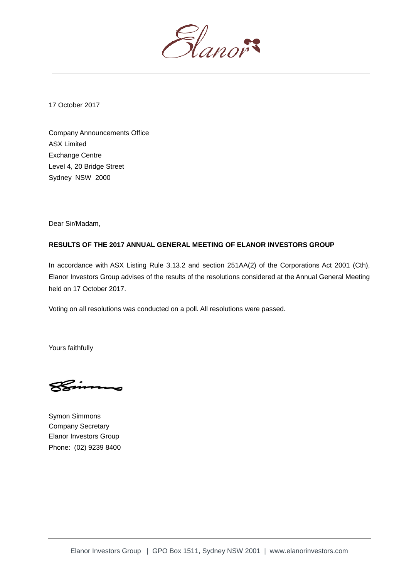

17 October 2017

Company Announcements Office ASX Limited Exchange Centre Level 4, 20 Bridge Street Sydney NSW 2000

Dear Sir/Madam,

## **RESULTS OF THE 2017 ANNUAL GENERAL MEETING OF ELANOR INVESTORS GROUP**

In accordance with ASX Listing Rule 3.13.2 and section 251AA(2) of the Corporations Act 2001 (Cth), Elanor Investors Group advises of the results of the resolutions considered at the Annual General Meeting held on 17 October 2017.

Voting on all resolutions was conducted on a poll. All resolutions were passed.

Yours faithfully

Symon Simmons Company Secretary Elanor Investors Group Phone: (02) 9239 8400